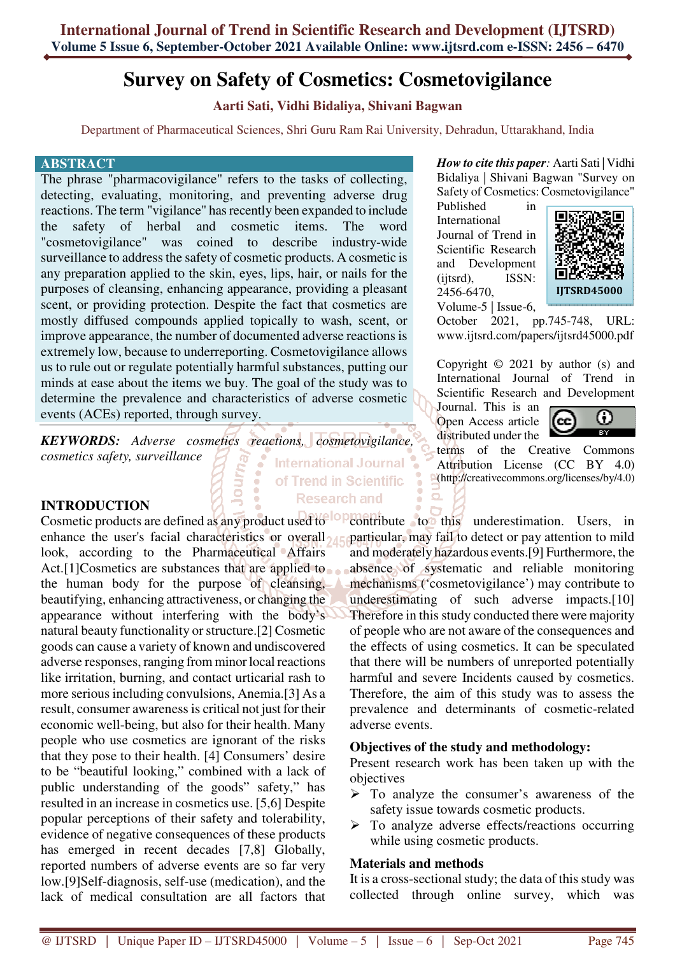# **Survey on Safety of Cosmetics: Cosmetovigilance**

**Aarti Sati, Vidhi Bidaliya, Shivani Bagwan** 

Department of Pharmaceutical Sciences, Shri Guru Ram Rai University, Dehradun, Uttarakhand, India

of Trend in Scientific

**Research and** 

#### **ABSTRACT**

The phrase "pharmacovigilance" refers to the tasks of collecting, detecting, evaluating, monitoring, and preventing adverse drug reactions. The term "vigilance" has recently been expanded to include<br>the safety of herbal and cosmetic items. The word the safety of herbal and cosmetic items. The word "cosmetovigilance" was coined to describe industry-wide surveillance to address the safety of cosmetic products. A cosmetic is any preparation applied to the skin, eyes, lips, hair, or nails for the purposes of cleansing, enhancing appearance, providing a pleasant scent, or providing protection. Despite the fact that cosmetics are mostly diffused compounds applied topically to wash, scent, or improve appearance, the number of documented adverse reactions is extremely low, because to underreporting. Cosmetovigilance allows us to rule out or regulate potentially harmful substances, putting our minds at ease about the items we buy. The goal of the study was to determine the prevalence and characteristics of adverse cosmetic events (ACEs) reported, through survey.

*KEYWORDS: Adverse cosmetics reactions, cosmetovigilance, cosmetics safety, surveillance*  International Journal

ó

### **INTRODUCTION**

Cosmetic products are defined as any product used to contribute to this underestimation. Users, in enhance the user's facial characteristics or overall look, according to the Pharmaceutical Affairs Act.<sup>[1]</sup>Cosmetics are substances that are applied to the human body for the purpose of cleansing, beautifying, enhancing attractiveness, or changing the appearance without interfering with the body's natural beauty functionality or structure.[2] Cosmetic goods can cause a variety of known and undiscovered adverse responses, ranging from minor local reactions like irritation, burning, and contact urticarial rash to more serious including convulsions, Anemia.[3] As a result, consumer awareness is critical not just for their economic well-being, but also for their health. Many people who use cosmetics are ignorant of the risks that they pose to their health. [4] Consumers' desire to be "beautiful looking," combined with a lack of public understanding of the goods" safety," has resulted in an increase in cosmetics use. [5,6] Despite popular perceptions of their safety and tolerability, evidence of negative consequences of these products has emerged in recent decades [7,8] Globally, reported numbers of adverse events are so far very low.[9]Self-diagnosis, self-use (medication), and the lack of medical consultation are all factors that

*How to cite this paper:* Aarti Sati | Vidhi Bidaliya | Shivani Bagwan "Survey on Safety of Cosmetics: Cosmetovigilance"

Published in International Journal of Trend in Scientific Research and Development (ijtsrd), ISSN: 2456-6470, Volume-5 | Issue-6,



October 2021, pp.745-748, URL: www.ijtsrd.com/papers/ijtsrd45000.pdf

Copyright © 2021 by author (s) and International Journal of Trend in Scientific Research and Development

Journal. This is an Open Access article distributed under the



terms of the Creative Commons Attribution License (CC BY 4.0) (http://creativecommons.org/licenses/by/4.0)

particular, may fail to detect or pay attention to mild and moderately hazardous events.[9] Furthermore, the absence of systematic and reliable monitoring mechanisms ('cosmetovigilance') may contribute to underestimating of such adverse impacts.[10] Therefore in this study conducted there were majority of people who are not aware of the consequences and the effects of using cosmetics. It can be speculated that there will be numbers of unreported potentially harmful and severe Incidents caused by cosmetics. Therefore, the aim of this study was to assess the prevalence and determinants of cosmetic-related adverse events.

### **Objectives of the study and methodology:**

Present research work has been taken up with the objectives

- To analyze the consumer's awareness of the safety issue towards cosmetic products.
- $\triangleright$  To analyze adverse effects/reactions occurring while using cosmetic products.

#### **Materials and methods**

It is a cross-sectional study; the data of this study was collected through online survey, which was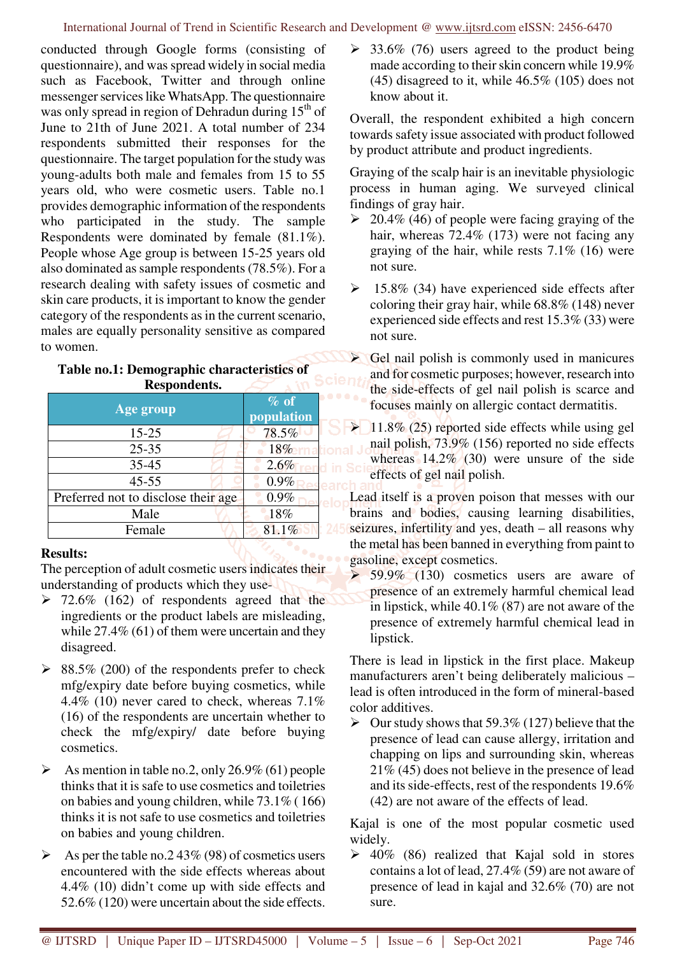conducted through Google forms (consisting of questionnaire), and was spread widely in social media such as Facebook, Twitter and through online messenger services like WhatsApp. The questionnaire was only spread in region of Dehradun during 15<sup>th</sup> of June to 21th of June 2021. A total number of 234 respondents submitted their responses for the questionnaire. The target population for the study was young-adults both male and females from 15 to 55 years old, who were cosmetic users. Table no.1 provides demographic information of the respondents who participated in the study. The sample Respondents were dominated by female (81.1%). People whose Age group is between 15-25 years old also dominated as sample respondents (78.5%). For a research dealing with safety issues of cosmetic and skin care products, it is important to know the gender category of the respondents as in the current scenario, males are equally personality sensitive as compared to women.

# Table no.1: Demographic characteristics of<br>**Respondents. Respondents.**

| Age group                           | $\%$ of             |
|-------------------------------------|---------------------|
| $15 - 25$                           | population<br>78.5% |
| $25 - 35$                           | 18%                 |
| $35 - 45$                           | 2.6%                |
| $45 - 55$                           | 0.9%                |
| Preferred not to disclose their age | 0.9%                |
| Male                                | 18%                 |
| Female                              | 81.1%               |

### **Results:**

The perception of adult cosmetic users indicates their understanding of products which they use-

- $\geq 72.6\%$  (162) of respondents agreed that the ingredients or the product labels are misleading, while 27.4% (61) of them were uncertain and they disagreed.
- $\geq$  88.5% (200) of the respondents prefer to check mfg/expiry date before buying cosmetics, while 4.4% (10) never cared to check, whereas 7.1% (16) of the respondents are uncertain whether to check the mfg/expiry/ date before buying cosmetics.
- $\triangleright$  As mention in table no.2, only 26.9% (61) people thinks that it is safe to use cosmetics and toiletries on babies and young children, while 73.1% ( 166) thinks it is not safe to use cosmetics and toiletries on babies and young children.
- $\triangleright$  As per the table no. 243\% (98) of cosmetics users encountered with the side effects whereas about 4.4% (10) didn't come up with side effects and 52.6% (120) were uncertain about the side effects.

 $\geq$  33.6% (76) users agreed to the product being made according to their skin concern while 19.9% (45) disagreed to it, while 46.5% (105) does not know about it.

Overall, the respondent exhibited a high concern towards safety issue associated with product followed by product attribute and product ingredients.

Graying of the scalp hair is an inevitable physiologic process in human aging. We surveyed clinical findings of gray hair.

- $\geq 20.4\%$  (46) of people were facing graying of the hair, whereas 72.4% (173) were not facing any graying of the hair, while rests 7.1% (16) were not sure.
- $\geq$  15.8% (34) have experienced side effects after coloring their gray hair, while 68.8% (148) never experienced side effects and rest 15.3% (33) were not sure.

 Gel nail polish is commonly used in manicures and for cosmetic purposes; however, research into the side-effects of gel nail polish is scarce and focuses mainly on allergic contact dermatitis.

 $\geq 11.8\%$  (25) reported side effects while using gel nail polish, 73.9% (156) reported no side effects whereas  $14.2\%$  (30) were unsure of the side effects of gel nail polish.

Lead itself is a proven poison that messes with our brains and bodies, causing learning disabilities, seizures, infertility and yes, death – all reasons why the metal has been banned in everything from paint to gasoline, except cosmetics.

 $\triangleright$  59.9% (130) cosmetics users are aware of presence of an extremely harmful chemical lead in lipstick, while 40.1% (87) are not aware of the presence of extremely harmful chemical lead in lipstick.

There is lead in lipstick in the first place. Makeup manufacturers aren't being deliberately malicious – lead is often introduced in the form of mineral-based color additives.

 $\triangleright$  Our study shows that 59.3% (127) believe that the presence of lead can cause allergy, irritation and chapping on lips and surrounding skin, whereas 21% (45) does not believe in the presence of lead and its side-effects, rest of the respondents 19.6% (42) are not aware of the effects of lead.

Kajal is one of the most popular cosmetic used widely.

 $\geq 40\%$  (86) realized that Kajal sold in stores contains a lot of lead, 27.4% (59) are not aware of presence of lead in kajal and 32.6% (70) are not sure.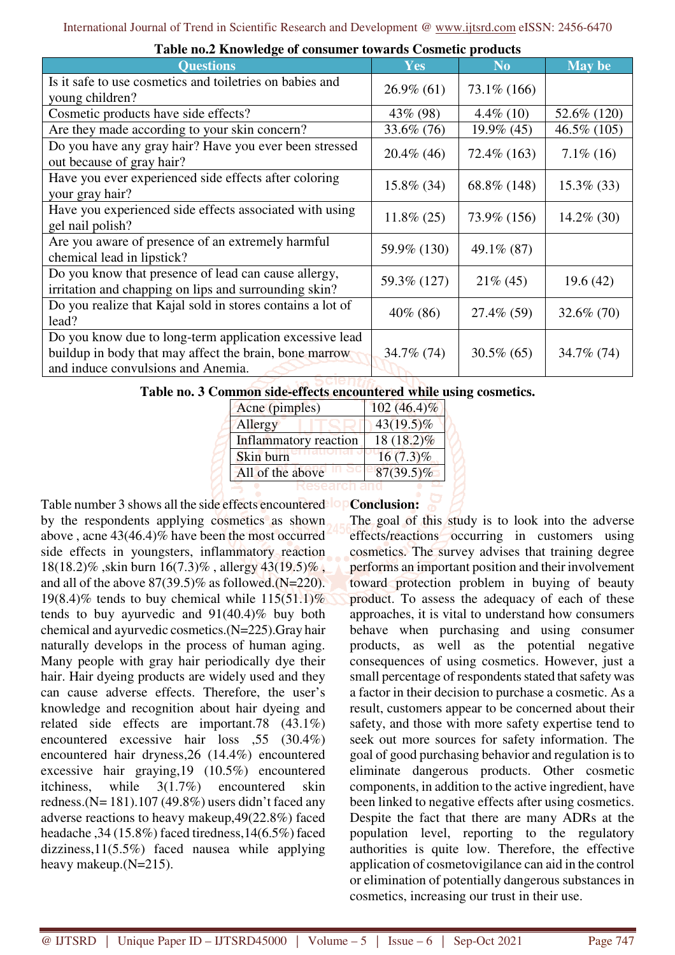| Table hold into wreck of consumer to war as Cosmette products                                                                                           |               |                |                |  |  |  |
|---------------------------------------------------------------------------------------------------------------------------------------------------------|---------------|----------------|----------------|--|--|--|
| <b>Questions</b>                                                                                                                                        | <b>Yes</b>    | N <sub>0</sub> | <b>May be</b>  |  |  |  |
| Is it safe to use cosmetics and toiletries on babies and<br>young children?                                                                             | $26.9\%$ (61) | 73.1\% (166)   |                |  |  |  |
| Cosmetic products have side effects?                                                                                                                    | 43\% (98)     | $4.4\%$ (10)   | 52.6% (120)    |  |  |  |
| Are they made according to your skin concern?                                                                                                           | 33.6% (76)    | 19.9% (45)     | $46.5\%$ (105) |  |  |  |
| Do you have any gray hair? Have you ever been stressed<br>out because of gray hair?                                                                     | $20.4\%$ (46) | $72.4\%$ (163) | $7.1\%$ (16)   |  |  |  |
| Have you ever experienced side effects after coloring<br>your gray hair?                                                                                | 15.8% (34)    | 68.8% (148)    | $15.3\%$ (33)  |  |  |  |
| Have you experienced side effects associated with using<br>gel nail polish?                                                                             | $11.8\% (25)$ | 73.9% (156)    | $14.2\%$ (30)  |  |  |  |
| Are you aware of presence of an extremely harmful<br>chemical lead in lipstick?                                                                         | 59.9% (130)   | 49.1\% (87)    |                |  |  |  |
| Do you know that presence of lead can cause allergy,<br>irritation and chapping on lips and surrounding skin?                                           | 59.3% (127)   | $21\%$ (45)    | 19.6(42)       |  |  |  |
| Do you realize that Kajal sold in stores contains a lot of<br>lead?                                                                                     | $40\%$ (86)   | 27.4\% (59)    | $32.6\%$ (70)  |  |  |  |
| Do you know due to long-term application excessive lead<br>buildup in body that may affect the brain, bone marrow<br>and induce convulsions and Anemia. | 34.7% (74)    | $30.5\%$ (65)  | 34.7% (74)     |  |  |  |

**Table no.2 Knowledge of consumer towards Cosmetic products** 

## **Table no. 3 Common side-effects encountered while using cosmetics.**

| Acne (pimples)        | $102(46.4)\%$ |  |
|-----------------------|---------------|--|
| Allergy               | $43(19.5)\%$  |  |
| Inflammatory reaction | $18(18.2)\%$  |  |
| Skin burn             | $16(7.3)\%$   |  |
| All of the above      | $87(39.5)\%$  |  |
|                       |               |  |

Table number 3 shows all the side effects encountered lope by the respondents applying cosmetics as shown above , acne 43(46.4)% have been the most occurred side effects in youngsters, inflammatory reaction 18(18.2)% ,skin burn 16(7.3)% , allergy 43(19.5)% , and all of the above  $87(39.5)\%$  as followed.(N=220). 19(8.4)% tends to buy chemical while  $115(51.1)\%$ tends to buy ayurvedic and 91(40.4)% buy both chemical and ayurvedic cosmetics.(N=225).Gray hair naturally develops in the process of human aging. Many people with gray hair periodically dye their hair. Hair dyeing products are widely used and they can cause adverse effects. Therefore, the user's knowledge and recognition about hair dyeing and related side effects are important.78 (43.1%) encountered excessive hair loss ,55 (30.4%) encountered hair dryness,26 (14.4%) encountered excessive hair graying,19 (10.5%) encountered itchiness, while 3(1.7%) encountered skin redness.(N=  $181$ ).107 (49.8%) users didn't faced any adverse reactions to heavy makeup,49(22.8%) faced headache ,34 (15.8%) faced tiredness,14(6.5%) faced dizziness,11(5.5%) faced nausea while applying heavy makeup. (N=215).

**Conclusion:** The goal of this study is to look into the adverse effects/reactions occurring in customers using cosmetics. The survey advises that training degree performs an important position and their involvement toward protection problem in buying of beauty product. To assess the adequacy of each of these approaches, it is vital to understand how consumers behave when purchasing and using consumer products, as well as the potential negative consequences of using cosmetics. However, just a small percentage of respondents stated that safety was a factor in their decision to purchase a cosmetic. As a result, customers appear to be concerned about their safety, and those with more safety expertise tend to seek out more sources for safety information. The goal of good purchasing behavior and regulation is to eliminate dangerous products. Other cosmetic components, in addition to the active ingredient, have been linked to negative effects after using cosmetics. Despite the fact that there are many ADRs at the population level, reporting to the regulatory authorities is quite low. Therefore, the effective application of cosmetovigilance can aid in the control or elimination of potentially dangerous substances in cosmetics, increasing our trust in their use.